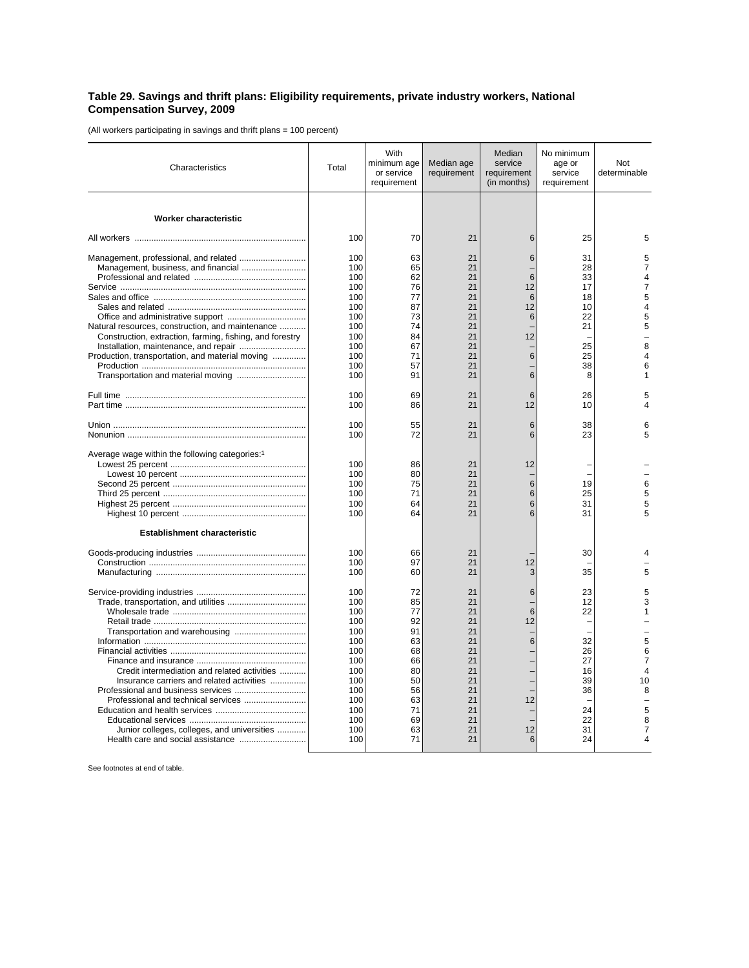## **Table 29. Savings and thrift plans: Eligibility requirements, private industry workers, National Compensation Survey, 2009**

(All workers participating in savings and thrift plans = 100 percent)

| Characteristics                                                                                                                                      | Total             | With<br>minimum age<br>or service<br>requirement | Median age<br>requirement | Median<br>service<br>requirement<br>(in months) | No minimum<br>age or<br>service<br>requirement | Not<br>determinable                   |
|------------------------------------------------------------------------------------------------------------------------------------------------------|-------------------|--------------------------------------------------|---------------------------|-------------------------------------------------|------------------------------------------------|---------------------------------------|
| Worker characteristic                                                                                                                                |                   |                                                  |                           |                                                 |                                                |                                       |
|                                                                                                                                                      | 100               | 70                                               | 21                        | 6                                               | 25                                             | 5                                     |
|                                                                                                                                                      | 100<br>100<br>100 | 63<br>65<br>62                                   | 21<br>21<br>21            | 6<br>6                                          | 31<br>28<br>33                                 | 5<br>7<br>4                           |
|                                                                                                                                                      | 100<br>100<br>100 | 76<br>77<br>87                                   | 21<br>21<br>21            | 12<br>6<br>12                                   | 17<br>18<br>10                                 | $\overline{7}$<br>5<br>4              |
| Natural resources, construction, and maintenance                                                                                                     | 100<br>100        | 73<br>74                                         | 21<br>21                  | 6                                               | 22<br>21                                       | 5<br>5                                |
| Construction, extraction, farming, fishing, and forestry<br>Installation, maintenance, and repair<br>Production, transportation, and material moving | 100<br>100<br>100 | 84<br>67<br>71                                   | 21<br>21<br>21            | 12<br>6                                         | 25<br>25                                       | 8<br>4                                |
|                                                                                                                                                      | 100<br>100        | 57<br>91                                         | 21<br>21                  | 6                                               | 38<br>8                                        | 6<br>1                                |
|                                                                                                                                                      | 100<br>100        | 69<br>86                                         | 21<br>21                  | 6<br>12                                         | 26<br>10                                       | 5<br>4                                |
|                                                                                                                                                      | 100<br>100        | 55<br>72                                         | 21<br>21                  | 6<br>6                                          | 38<br>23                                       | 6<br>5                                |
| Average wage within the following categories: <sup>1</sup>                                                                                           | 100               | 86                                               | 21                        | 12                                              |                                                |                                       |
|                                                                                                                                                      | 100<br>100        | 80<br>75                                         | 21<br>21                  | 6                                               | 19                                             | 6                                     |
|                                                                                                                                                      | 100<br>100<br>100 | 71<br>64<br>64                                   | 21<br>21<br>21            | 6<br>6<br>6                                     | 25<br>31<br>31                                 | 5<br>5<br>5                           |
| <b>Establishment characteristic</b>                                                                                                                  |                   |                                                  |                           |                                                 |                                                |                                       |
|                                                                                                                                                      | 100<br>100        | 66<br>97                                         | 21<br>21                  | 12                                              | 30                                             |                                       |
|                                                                                                                                                      | 100               | 60                                               | 21                        | 3                                               | 35                                             | 5                                     |
|                                                                                                                                                      | 100<br>100<br>100 | 72<br>85<br>77                                   | 21<br>21<br>21            | 6<br>6                                          | 23<br>12<br>22                                 | 5<br>3<br>1                           |
|                                                                                                                                                      | 100<br>100<br>100 | 92<br>91<br>63                                   | 21<br>21<br>21            | 12<br>6                                         | 32                                             | 5                                     |
| Credit intermediation and related activities                                                                                                         | 100<br>100<br>100 | 68<br>66<br>80                                   | 21<br>21<br>21            |                                                 | 26<br>27<br>16                                 | 6<br>$\overline{7}$<br>$\overline{4}$ |
| Insurance carriers and related activities<br>Professional and technical services                                                                     | 100<br>100<br>100 | 50<br>56<br>63                                   | 21<br>21<br>21            | 12                                              | 39<br>36                                       | 10<br>8                               |
| Junior colleges, colleges, and universities                                                                                                          | 100<br>100<br>100 | 71<br>69<br>63                                   | 21<br>21<br>21            | 12                                              | 24<br>22<br>31                                 | 5<br>8<br>$\overline{7}$              |
|                                                                                                                                                      | 100               | 71                                               | 21                        | 6                                               | 24                                             | 4                                     |

See footnotes at end of table.